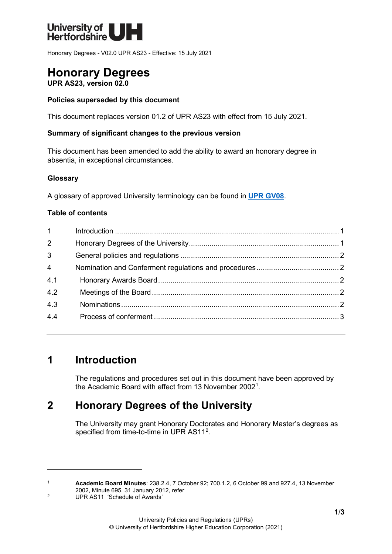

Honorary Degrees - V02.0 UPR AS23 - Effective: 15 July 2021

# **Honorary Degrees**

**UPR AS23, version 02.0**

### **Policies superseded by this document**

This document replaces version 01.2 of UPR AS23 with effect from 15 July 2021.

### **Summary of significant changes to the previous version**

This document has been amended to add the ability to award an honorary degree in absentia, in exceptional circumstances.

### **Glossary**

A glossary of approved University terminology can be found in **[UPR GV08](https://www.herts.ac.uk/__data/assets/pdf_file/0020/233057/GV08-Glossary-of-Terminology.pdf)**.

### **Table of contents**

| $1 \quad \blacksquare$ |  |
|------------------------|--|
| $\overline{2}$         |  |
| $\mathbf{3}$           |  |
| $\overline{4}$         |  |
| 4.1                    |  |
| 4.2                    |  |
| 4.3                    |  |
| 4.4                    |  |
|                        |  |

# <span id="page-0-0"></span>**1 Introduction**

The regulations and procedures set out in this document have been approved by the Academic Board with effect from 13 November 200[21](#page-0-2) .

## <span id="page-0-1"></span>**2 Honorary Degrees of the University**

The University may grant Honorary Doctorates and Honorary Master's degrees as specified from time-to-time in UPR AS11<sup>[2](#page-0-3)</sup>.

<span id="page-0-2"></span><sup>1</sup> **Academic Board Minutes**: 238.2.4, 7 October 92; 700.1.2, 6 October 99 and 927.4, 13 November 2002, Minute 695, 31 January 2012, refer

<span id="page-0-3"></span><sup>2</sup> UPR AS11 'Schedule of Awards'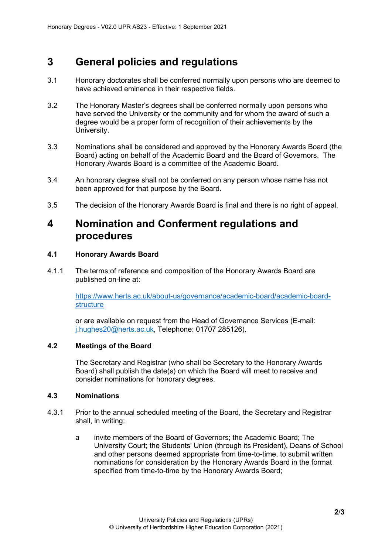# <span id="page-1-0"></span>**3 General policies and regulations**

- 3.1 Honorary doctorates shall be conferred normally upon persons who are deemed to have achieved eminence in their respective fields.
- 3.2 The Honorary Master's degrees shall be conferred normally upon persons who have served the University or the community and for whom the award of such a degree would be a proper form of recognition of their achievements by the University.
- 3.3 Nominations shall be considered and approved by the Honorary Awards Board (the Board) acting on behalf of the Academic Board and the Board of Governors. The Honorary Awards Board is a committee of the Academic Board.
- 3.4 An honorary degree shall not be conferred on any person whose name has not been approved for that purpose by the Board.
- 3.5 The decision of the Honorary Awards Board is final and there is no right of appeal.

## <span id="page-1-1"></span>**4 Nomination and Conferment regulations and procedures**

### <span id="page-1-2"></span>**4.1 Honorary Awards Board**

4.1.1 The terms of reference and composition of the Honorary Awards Board are published on-line at:

> [https://www.herts.ac.uk/about-us/governance/academic-board/academic-board](https://www.herts.ac.uk/about-us/governance/academic-board/academic-board-structure)[structure](https://www.herts.ac.uk/about-us/governance/academic-board/academic-board-structure)

or are available on request from the Head of Governance Services (E-mail: [j.hughes20@herts.ac.uk,](mailto:j.hughes20@herts.ac.uk) Telephone: 01707 285126).

### <span id="page-1-3"></span>**4.2 Meetings of the Board**

The Secretary and Registrar (who shall be Secretary to the Honorary Awards Board) shall publish the date(s) on which the Board will meet to receive and consider nominations for honorary degrees.

### <span id="page-1-4"></span>**4.3 Nominations**

- 4.3.1 Prior to the annual scheduled meeting of the Board, the Secretary and Registrar shall, in writing:
	- a invite members of the Board of Governors; the Academic Board; The University Court; the Students' Union (through its President), Deans of School and other persons deemed appropriate from time-to-time, to submit written nominations for consideration by the Honorary Awards Board in the format specified from time-to-time by the Honorary Awards Board;